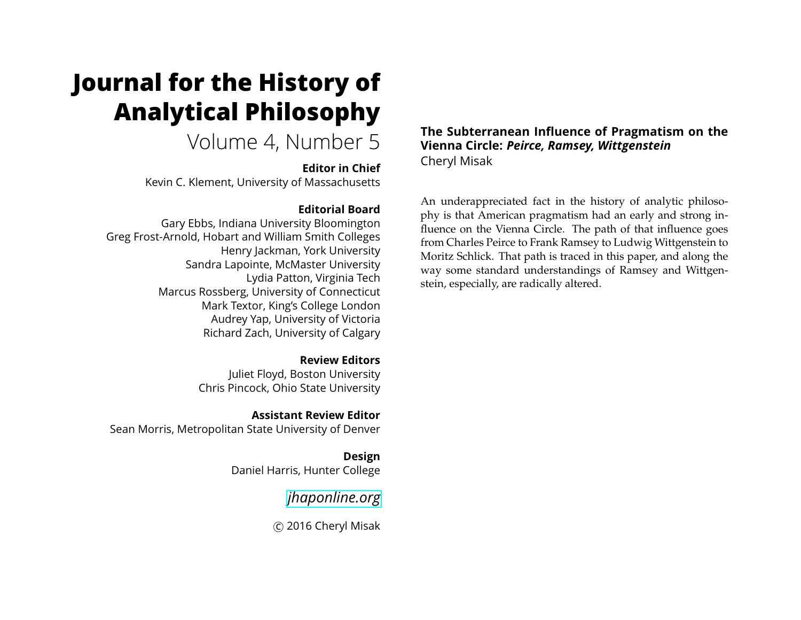# **Journal for the History of Analytical Philosophy**

# Volume 4, Number 5

**Editor in Chief**

Kevin C. Klement, University of Massachusetts

# **Editorial Board**

Gary Ebbs, Indiana University Bloomington Greg Frost-Arnold, Hobart and William Smith Colleges Henry Jackman, York University Sandra Lapointe, McMaster University Lydia Patton, Virginia Tech Marcus Rossberg, University of Connecticut Mark Textor, King's College London Audrey Yap, University of Victoria Richard Zach, University of Calgary

> **Review Editors** Juliet Floyd, Boston University Chris Pincock, Ohio State University

**Assistant Review Editor** Sean Morris, Metropolitan State University of Denver

> **Design** Daniel Harris, Hunter College

> > *[jhaponline.org](https://jhaponline.org)*

c 2016 Cheryl Misak

**The Subterranean Influence of Pragmatism on the Vienna Circle:** *Peirce, Ramsey, Wittgenstein* Cheryl Misak

An underappreciated fact in the history of analytic philosophy is that American pragmatism had an early and strong influence on the Vienna Circle. The path of that influence goes from Charles Peirce to Frank Ramsey to Ludwig Wittgenstein to Moritz Schlick. That path is traced in this paper, and along the way some standard understandings of Ramsey and Wittgenstein, especially, are radically altered.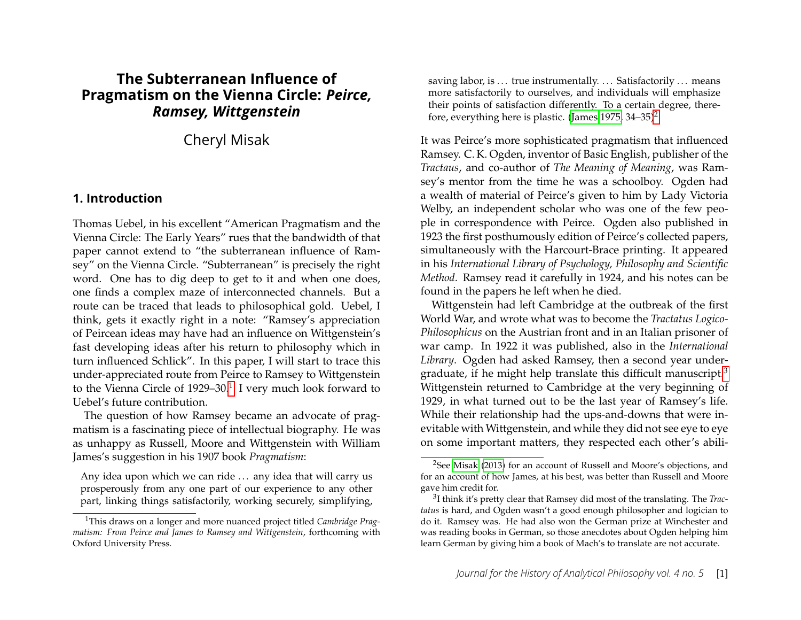# **The Subterranean Influence of Pragmatism on the Vienna Circle:** *Peirce, Ramsey, Wittgenstein*

Cheryl Misak

#### **1. Introduction**

Thomas Uebel, in his excellent "American Pragmatism and the Vienna Circle: The Early Years" rues that the bandwidth of that paper cannot extend to "the subterranean influence of Ramsey" on the Vienna Circle. "Subterranean" is precisely the right word. One has to dig deep to get to it and when one does, one finds a complex maze of interconnected channels. But a route can be traced that leads to philosophical gold. Uebel, I think, gets it exactly right in a note: "Ramsey's appreciation of Peircean ideas may have had an influence on Wittgenstein's fast developing ideas after his return to philosophy which in turn influenced Schlick". In this paper, I will start to trace this under-appreciated route from Peirce to Ramsey to Wittgenstein to the Vienna Circle of [1](#page-1-0)929–30.<sup>1</sup> I very much look forward to Uebel's future contribution.

The question of how Ramsey became an advocate of pragmatism is a fascinating piece of intellectual biography. He was as unhappy as Russell, Moore and Wittgenstein with William James's suggestion in his 1907 book *Pragmatism*:

Any idea upon which we can ride ... any idea that will carry us prosperously from any one part of our experience to any other part, linking things satisfactorily, working securely, simplifying, saving labor, is ... true instrumentally. ... Satisfactorily ... means more satisfactorily to ourselves, and individuals will emphasize their points of satisfaction differently. To a certain degree, there-fore, everything here is plastic. [\(James 1975,](#page-14-0)  $34-35$ )<sup>[2](#page-1-1)</sup>

It was Peirce's more sophisticated pragmatism that influenced Ramsey. C. K. Ogden, inventor of Basic English, publisher of the *Tractaus*, and co-author of *The Meaning of Meaning*, was Ramsey's mentor from the time he was a schoolboy. Ogden had a wealth of material of Peirce's given to him by Lady Victoria Welby, an independent scholar who was one of the few people in correspondence with Peirce. Ogden also published in 1923 the first posthumously edition of Peirce's collected papers, simultaneously with the Harcourt-Brace printing. It appeared in his *International Library of Psychology, Philosophy and Scientific Method*. Ramsey read it carefully in 1924, and his notes can be found in the papers he left when he died.

Wittgenstein had left Cambridge at the outbreak of the first World War, and wrote what was to become the *Tractatus Logico-Philosophicus* on the Austrian front and in an Italian prisoner of war camp. In 1922 it was published, also in the *International Library*. Ogden had asked Ramsey, then a second year under-graduate, if he might help translate this difficult manuscript.<sup>[3](#page-1-2)</sup> Wittgenstein returned to Cambridge at the very beginning of 1929, in what turned out to be the last year of Ramsey's life. While their relationship had the ups-and-downs that were inevitable with Wittgenstein, and while they did not see eye to eye on some important matters, they respected each other's abili-

<span id="page-1-0"></span><sup>1</sup>This draws on a longer and more nuanced project titled *Cambridge Pragmatism: From Peirce and James to Ramsey and Wittgenstein*, forthcoming with Oxford University Press.

<span id="page-1-1"></span><sup>2</sup>See [Misak \(2013\)](#page-14-1) for an account of Russell and Moore's objections, and for an account of how James, at his best, was better than Russell and Moore gave him credit for.

<span id="page-1-2"></span><sup>3</sup> I think it's pretty clear that Ramsey did most of the translating. The *Tractatus* is hard, and Ogden wasn't a good enough philosopher and logician to do it. Ramsey was. He had also won the German prize at Winchester and was reading books in German, so those anecdotes about Ogden helping him learn German by giving him a book of Mach's to translate are not accurate.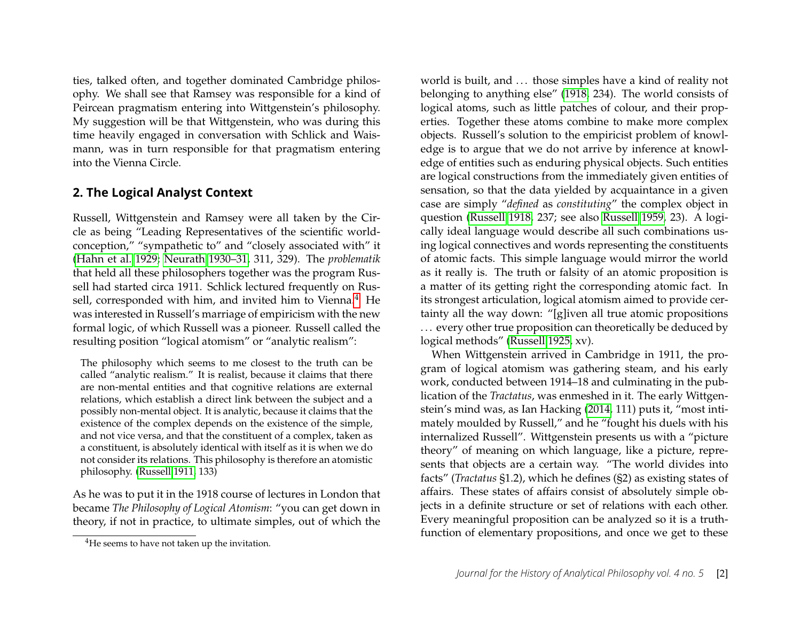ties, talked often, and together dominated Cambridge philosophy. We shall see that Ramsey was responsible for a kind of Peircean pragmatism entering into Wittgenstein's philosophy. My suggestion will be that Wittgenstein, who was during this time heavily engaged in conversation with Schlick and Waismann, was in turn responsible for that pragmatism entering into the Vienna Circle.

#### **2. The Logical Analyst Context**

Russell, Wittgenstein and Ramsey were all taken by the Circle as being "Leading Representatives of the scientific worldconception," "sympathetic to" and "closely associated with" it [\(Hahn et al. 1929;](#page-14-2) [Neurath 1930–31,](#page-14-3) 311, 329). The *problematik* that held all these philosophers together was the program Russell had started circa 1911. Schlick lectured frequently on Rus-sell, corresponded with him, and invited him to Vienna.<sup>[4](#page-2-0)</sup> He was interested in Russell's marriage of empiricism with the new formal logic, of which Russell was a pioneer. Russell called the resulting position "logical atomism" or "analytic realism":

The philosophy which seems to me closest to the truth can be called "analytic realism." It is realist, because it claims that there are non-mental entities and that cognitive relations are external relations, which establish a direct link between the subject and a possibly non-mental object. It is analytic, because it claims that the existence of the complex depends on the existence of the simple, and not vice versa, and that the constituent of a complex, taken as a constituent, is absolutely identical with itself as it is when we do not consider its relations. This philosophy is therefore an atomistic philosophy. [\(Russell 1911,](#page-15-0) 133)

As he was to put it in the 1918 course of lectures in London that became *The Philosophy of Logical Atomism*: "you can get down in theory, if not in practice, to ultimate simples, out of which the

world is built, and ... those simples have a kind of reality not belonging to anything else" [\(1918,](#page-15-1) 234). The world consists of logical atoms, such as little patches of colour, and their properties. Together these atoms combine to make more complex objects. Russell's solution to the empiricist problem of knowledge is to argue that we do not arrive by inference at knowledge of entities such as enduring physical objects. Such entities are logical constructions from the immediately given entities of sensation, so that the data yielded by acquaintance in a given case are simply "*defined* as *constituting*" the complex object in question [\(Russell 1918,](#page-15-1) 237; see also [Russell 1959,](#page-15-2) 23). A logically ideal language would describe all such combinations using logical connectives and words representing the constituents of atomic facts. This simple language would mirror the world as it really is. The truth or falsity of an atomic proposition is a matter of its getting right the corresponding atomic fact. In its strongest articulation, logical atomism aimed to provide certainty all the way down: "[g]iven all true atomic propositions ... every other true proposition can theoretically be deduced by logical methods" [\(Russell 1925,](#page-15-3) xv).

When Wittgenstein arrived in Cambridge in 1911, the program of logical atomism was gathering steam, and his early work, conducted between 1914–18 and culminating in the publication of the *Tractatus*, was enmeshed in it. The early Wittgenstein's mind was, as Ian Hacking [\(2014,](#page-14-4) 111) puts it, "most intimately moulded by Russell," and he "fought his duels with his internalized Russell". Wittgenstein presents us with a "picture theory" of meaning on which language, like a picture, represents that objects are a certain way. "The world divides into facts" (*Tractatus* §1.2), which he defines (§2) as existing states of affairs. These states of affairs consist of absolutely simple objects in a definite structure or set of relations with each other. Every meaningful proposition can be analyzed so it is a truthfunction of elementary propositions, and once we get to these

<span id="page-2-0"></span><sup>&</sup>lt;sup>4</sup>He seems to have not taken up the invitation.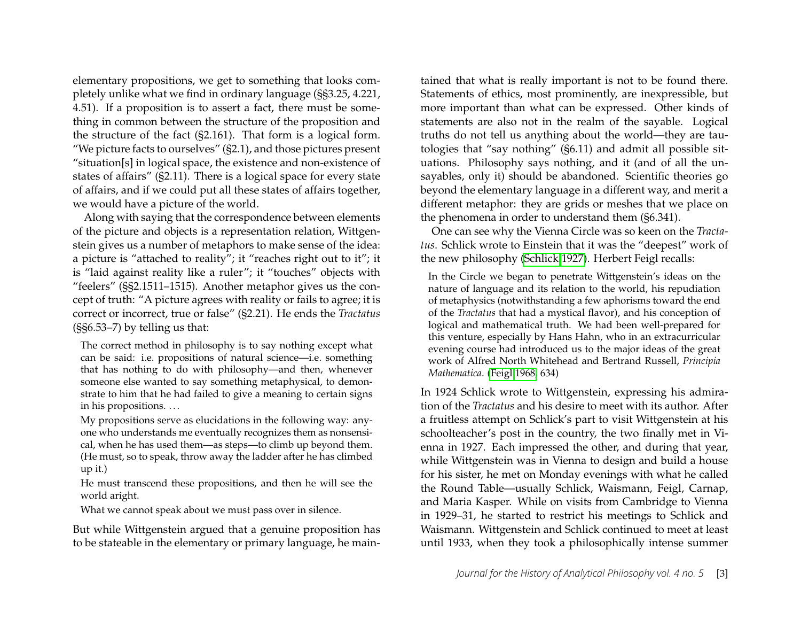elementary propositions, we get to something that looks completely unlike what we find in ordinary language (§§3.25, 4.221, 4.51). If a proposition is to assert a fact, there must be something in common between the structure of the proposition and the structure of the fact (§2.161). That form is a logical form. "We picture facts to ourselves" (§2.1), and those pictures present "situation[s] in logical space, the existence and non-existence of states of affairs" (§2.11). There is a logical space for every state of affairs, and if we could put all these states of affairs together, we would have a picture of the world.

Along with saying that the correspondence between elements of the picture and objects is a representation relation, Wittgenstein gives us a number of metaphors to make sense of the idea: a picture is "attached to reality"; it "reaches right out to it"; it is "laid against reality like a ruler"; it "touches" objects with "feelers" (§§2.1511–1515). Another metaphor gives us the concept of truth: "A picture agrees with reality or fails to agree; it is correct or incorrect, true or false" (§2.21). He ends the *Tractatus* (§§6.53–7) by telling us that:

The correct method in philosophy is to say nothing except what can be said: i.e. propositions of natural science—i.e. something that has nothing to do with philosophy—and then, whenever someone else wanted to say something metaphysical, to demonstrate to him that he had failed to give a meaning to certain signs in his propositions. . . .

My propositions serve as elucidations in the following way: anyone who understands me eventually recognizes them as nonsensical, when he has used them—as steps—to climb up beyond them. (He must, so to speak, throw away the ladder after he has climbed up it.)

He must transcend these propositions, and then he will see the world aright.

What we cannot speak about we must pass over in silence.

But while Wittgenstein argued that a genuine proposition has to be stateable in the elementary or primary language, he maintained that what is really important is not to be found there. Statements of ethics, most prominently, are inexpressible, but more important than what can be expressed. Other kinds of statements are also not in the realm of the sayable. Logical truths do not tell us anything about the world—they are tautologies that "say nothing" (§6.11) and admit all possible situations. Philosophy says nothing, and it (and of all the unsayables, only it) should be abandoned. Scientific theories go beyond the elementary language in a different way, and merit a different metaphor: they are grids or meshes that we place on the phenomena in order to understand them (§6.341).

One can see why the Vienna Circle was so keen on the *Tractatus*. Schlick wrote to Einstein that it was the "deepest" work of the new philosophy [\(Schlick 1927\)](#page-15-4). Herbert Feigl recalls:

In the Circle we began to penetrate Wittgenstein's ideas on the nature of language and its relation to the world, his repudiation of metaphysics (notwithstanding a few aphorisms toward the end of the *Tractatus* that had a mystical flavor), and his conception of logical and mathematical truth. We had been well-prepared for this venture, especially by Hans Hahn, who in an extracurricular evening course had introduced us to the major ideas of the great work of Alfred North Whitehead and Bertrand Russell, *Principia Mathematica*. [\(Feigl 1968,](#page-13-0) 634)

In 1924 Schlick wrote to Wittgenstein, expressing his admiration of the *Tractatus* and his desire to meet with its author. After a fruitless attempt on Schlick's part to visit Wittgenstein at his schoolteacher's post in the country, the two finally met in Vienna in 1927. Each impressed the other, and during that year, while Wittgenstein was in Vienna to design and build a house for his sister, he met on Monday evenings with what he called the Round Table—usually Schlick, Waismann, Feigl, Carnap, and Maria Kasper. While on visits from Cambridge to Vienna in 1929–31, he started to restrict his meetings to Schlick and Waismann. Wittgenstein and Schlick continued to meet at least until 1933, when they took a philosophically intense summer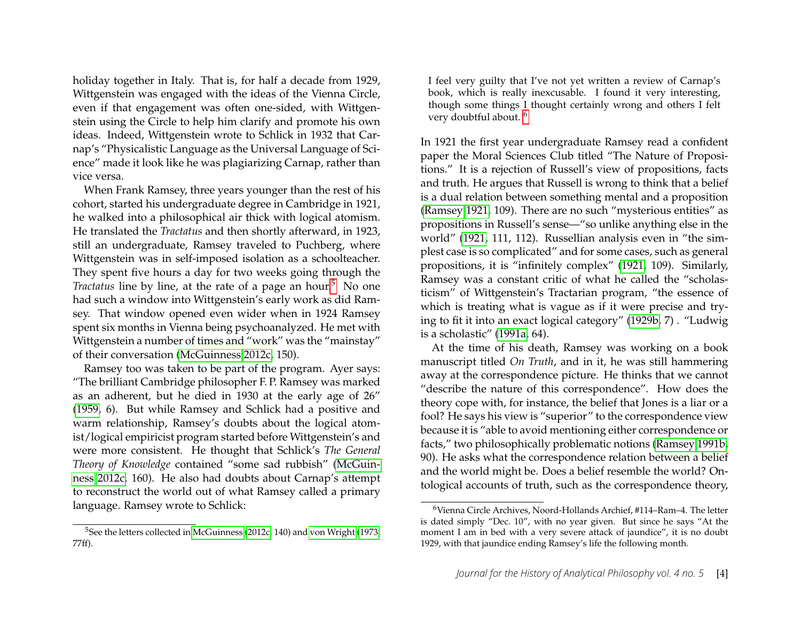holiday together in Italy. That is, for half a decade from 1929, Wittgenstein was engaged with the ideas of the Vienna Circle, even if that engagement was often one-sided, with Wittgenstein using the Circle to help him clarify and promote his own ideas. Indeed, Wittgenstein wrote to Schlick in 1932 that Carnap's "Physicalistic Language as the Universal Language of Science" made it look like he was plagiarizing Carnap, rather than vice versa.

When Frank Ramsey, three years younger than the rest of his cohort, started his undergraduate degree in Cambridge in 1921, he walked into a philosophical air thick with logical atomism. He translated the *Tractatus* and then shortly afterward, in 1923, still an undergraduate, Ramsey traveled to Puchberg, where Wittgenstein was in self-imposed isolation as a schoolteacher. They spent five hours a day for two weeks going through the *Tractatus* line by line, at the rate of a page an hour.<sup>[5](#page-4-0)</sup> No one had such a window into Wittgenstein's early work as did Ramsey. That window opened even wider when in 1924 Ramsey spent six months in Vienna being psychoanalyzed. He met with Wittgenstein a number of times and "work" was the "mainstay" of their conversation [\(McGuinness 2012c,](#page-14-5) 150).

Ramsey too was taken to be part of the program. Ayer says: "The brilliant Cambridge philosopher F. P. Ramsey was marked as an adherent, but he died in 1930 at the early age of 26" [\(1959,](#page-13-1) 6). But while Ramsey and Schlick had a positive and warm relationship, Ramsey's doubts about the logical atomist/logical empiricist program started before Wittgenstein's and were more consistent. He thought that Schlick's *The General Theory of Knowledge* contained "some sad rubbish" [\(McGuin](#page-14-5)[ness 2012c,](#page-14-5) 160). He also had doubts about Carnap's attempt to reconstruct the world out of what Ramsey called a primary language. Ramsey wrote to Schlick:

<span id="page-4-0"></span><sup>5</sup>See the letters collected in [McGuinness \(2012c,](#page-14-5) 140) and [von Wright \(1973,](#page-15-5) 77ff).

I feel very guilty that I've not yet written a review of Carnap's book, which is really inexcusable. I found it very interesting, though some things I thought certainly wrong and others I felt very doubtful about. [6](#page-4-1)

In 1921 the first year undergraduate Ramsey read a confident paper the Moral Sciences Club titled "The Nature of Propositions." It is a rejection of Russell's view of propositions, facts and truth. He argues that Russell is wrong to think that a belief is a dual relation between something mental and a proposition [\(Ramsey 1921,](#page-14-6) 109). There are no such "mysterious entities" as propositions in Russell's sense—"so unlike anything else in the world" [\(1921,](#page-14-6) 111, 112). Russellian analysis even in "the simplest case is so complicated" and for some cases, such as general propositions, it is "infinitely complex" [\(1921,](#page-14-6) 109). Similarly, Ramsey was a constant critic of what he called the "scholasticism" of Wittgenstein's Tractarian program, "the essence of which is treating what is vague as if it were precise and trying to fit it into an exact logical category" [\(1929b,](#page-15-6) 7) . "Ludwig is a scholastic" [\(1991a,](#page-15-7) 64).

At the time of his death, Ramsey was working on a book manuscript titled *On Truth*, and in it, he was still hammering away at the correspondence picture. He thinks that we cannot "describe the nature of this correspondence". How does the theory cope with, for instance, the belief that Jones is a liar or a fool? He says his view is "superior" to the correspondence view because it is "able to avoid mentioning either correspondence or facts," two philosophically problematic notions [\(Ramsey 1991b,](#page-15-8) 90). He asks what the correspondence relation between a belief and the world might be. Does a belief resemble the world? Ontological accounts of truth, such as the correspondence theory,

<span id="page-4-1"></span><sup>6</sup>Vienna Circle Archives, Noord-Hollands Archief, #114–Ram–4. The letter is dated simply "Dec. 10", with no year given. But since he says "At the moment I am in bed with a very severe attack of jaundice", it is no doubt 1929, with that jaundice ending Ramsey's life the following month.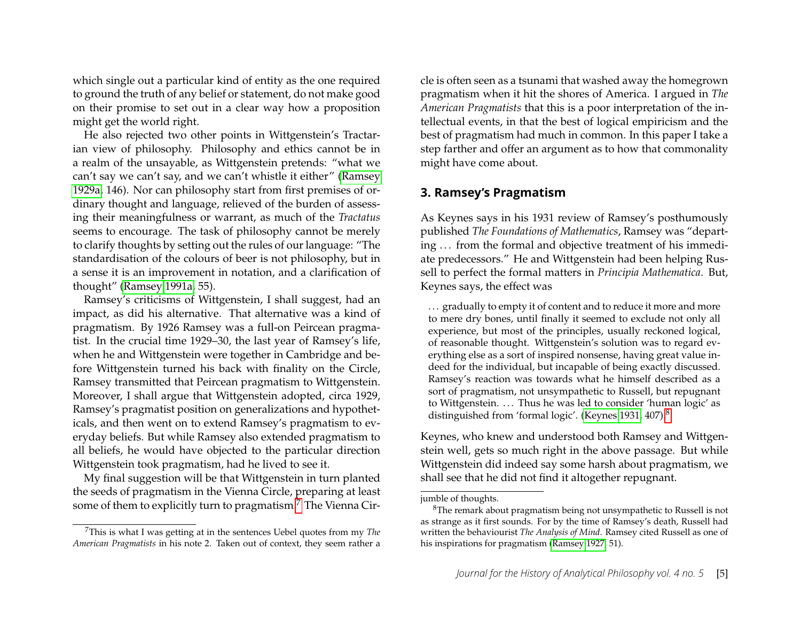which single out a particular kind of entity as the one required to ground the truth of any belief or statement, do not make good on their promise to set out in a clear way how a proposition might get the world right.

He also rejected two other points in Wittgenstein's Tractarian view of philosophy. Philosophy and ethics cannot be in a realm of the unsayable, as Wittgenstein pretends: "what we can't say we can't say, and we can't whistle it either" [\(Ramsey](#page-14-7) [1929a,](#page-14-7) 146). Nor can philosophy start from first premises of ordinary thought and language, relieved of the burden of assessing their meaningfulness or warrant, as much of the *Tractatus* seems to encourage. The task of philosophy cannot be merely to clarify thoughts by setting out the rules of our language: "The standardisation of the colours of beer is not philosophy, but in a sense it is an improvement in notation, and a clarification of thought" [\(Ramsey 1991a,](#page-15-7) 55).

Ramsey's criticisms of Wittgenstein, I shall suggest, had an impact, as did his alternative. That alternative was a kind of pragmatism. By 1926 Ramsey was a full-on Peircean pragmatist. In the crucial time 1929–30, the last year of Ramsey's life, when he and Wittgenstein were together in Cambridge and before Wittgenstein turned his back with finality on the Circle, Ramsey transmitted that Peircean pragmatism to Wittgenstein. Moreover, I shall argue that Wittgenstein adopted, circa 1929, Ramsey's pragmatist position on generalizations and hypotheticals, and then went on to extend Ramsey's pragmatism to everyday beliefs. But while Ramsey also extended pragmatism to all beliefs, he would have objected to the particular direction Wittgenstein took pragmatism, had he lived to see it.

My final suggestion will be that Wittgenstein in turn planted the seeds of pragmatism in the Vienna Circle, preparing at least some of them to explicitly turn to pragmatism.<sup>[7](#page-5-0)</sup> The Vienna Circle is often seen as a tsunami that washed away the homegrown pragmatism when it hit the shores of America. I argued in *The American Pragmatists* that this is a poor interpretation of the intellectual events, in that the best of logical empiricism and the best of pragmatism had much in common. In this paper I take a step farther and offer an argument as to how that commonality might have come about.

#### **3. Ramsey's Pragmatism**

As Keynes says in his 1931 review of Ramsey's posthumously published *The Foundations of Mathematics*, Ramsey was "departing ... from the formal and objective treatment of his immediate predecessors." He and Wittgenstein had been helping Russell to perfect the formal matters in *Principia Mathematica*. But, Keynes says, the effect was

... gradually to empty it of content and to reduce it more and more to mere dry bones, until finally it seemed to exclude not only all experience, but most of the principles, usually reckoned logical, of reasonable thought. Wittgenstein's solution was to regard everything else as a sort of inspired nonsense, having great value indeed for the individual, but incapable of being exactly discussed. Ramsey's reaction was towards what he himself described as a sort of pragmatism, not unsympathetic to Russell, but repugnant to Wittgenstein. ... Thus he was led to consider 'human logic' as distinguished from 'formal logic'. [\(Keynes 1931,](#page-14-8) 407).[8](#page-5-1)

Keynes, who knew and understood both Ramsey and Wittgenstein well, gets so much right in the above passage. But while Wittgenstein did indeed say some harsh about pragmatism, we shall see that he did not find it altogether repugnant.

<span id="page-5-0"></span><sup>7</sup>This is what I was getting at in the sentences Uebel quotes from my *The American Pragmatists* in his note 2. Taken out of context, they seem rather a

jumble of thoughts.

<span id="page-5-1"></span><sup>8</sup>The remark about pragmatism being not unsympathetic to Russell is not as strange as it first sounds. For by the time of Ramsey's death, Russell had written the behaviourist *The Analysis of Mind*. Ramsey cited Russell as one of his inspirations for pragmatism [\(Ramsey 1927,](#page-14-9) 51).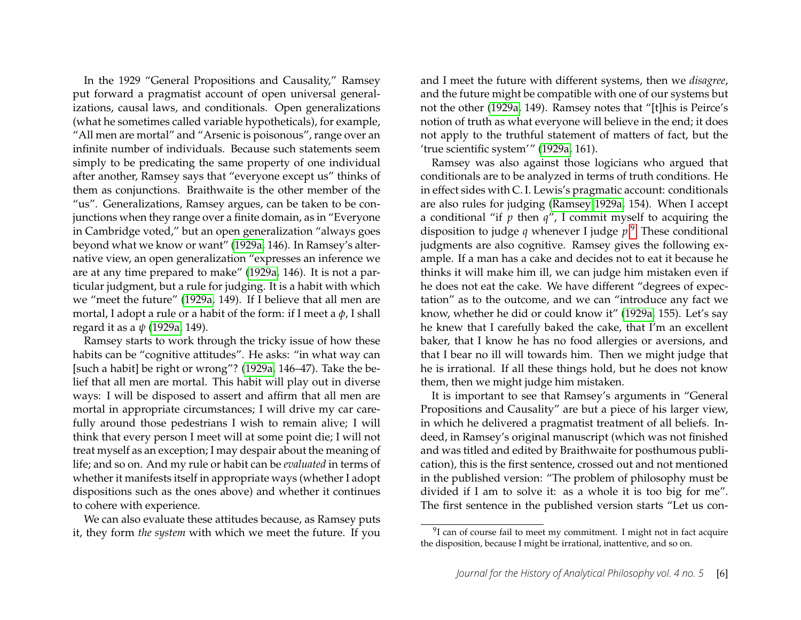In the 1929 "General Propositions and Causality," Ramsey put forward a pragmatist account of open universal generalizations, causal laws, and conditionals. Open generalizations (what he sometimes called variable hypotheticals), for example, "All men are mortal" and "Arsenic is poisonous", range over an infinite number of individuals. Because such statements seem simply to be predicating the same property of one individual after another, Ramsey says that "everyone except us" thinks of them as conjunctions. Braithwaite is the other member of the "us". Generalizations, Ramsey argues, can be taken to be conjunctions when they range over a finite domain, as in "Everyone in Cambridge voted," but an open generalization "always goes beyond what we know or want" [\(1929a,](#page-14-7) 146). In Ramsey's alternative view, an open generalization "expresses an inference we are at any time prepared to make" [\(1929a,](#page-14-7) 146). It is not a particular judgment, but a rule for judging. It is a habit with which we "meet the future" [\(1929a,](#page-14-7) 149). If I believe that all men are mortal, I adopt a rule or a habit of the form: if I meet a *φ*, I shall regard it as a *ψ* [\(1929a,](#page-14-7) 149).

Ramsey starts to work through the tricky issue of how these habits can be "cognitive attitudes". He asks: "in what way can [such a habit] be right or wrong"? [\(1929a,](#page-14-7) 146–47). Take the belief that all men are mortal. This habit will play out in diverse ways: I will be disposed to assert and affirm that all men are mortal in appropriate circumstances; I will drive my car carefully around those pedestrians I wish to remain alive; I will think that every person I meet will at some point die; I will not treat myself as an exception; I may despair about the meaning of life; and so on. And my rule or habit can be *evaluated* in terms of whether it manifests itself in appropriate ways (whether I adopt dispositions such as the ones above) and whether it continues to cohere with experience.

We can also evaluate these attitudes because, as Ramsey puts it, they form *the system* with which we meet the future. If you

and I meet the future with different systems, then we *disagree*, and the future might be compatible with one of our systems but not the other [\(1929a,](#page-14-7) 149). Ramsey notes that "[t]his is Peirce's notion of truth as what everyone will believe in the end; it does not apply to the truthful statement of matters of fact, but the 'true scientific system'" [\(1929a,](#page-14-7) 161).

Ramsey was also against those logicians who argued that conditionals are to be analyzed in terms of truth conditions. He in effect sides with C. I. Lewis's pragmatic account: conditionals are also rules for judging [\(Ramsey 1929a,](#page-14-7) 154). When I accept a conditional "if *p* then *q*", I commit myself to acquiring the disposition to judge *q* whenever I judge *p*. [9](#page-6-0) These conditional judgments are also cognitive. Ramsey gives the following example. If a man has a cake and decides not to eat it because he thinks it will make him ill, we can judge him mistaken even if he does not eat the cake. We have different "degrees of expectation" as to the outcome, and we can "introduce any fact we know, whether he did or could know it" [\(1929a,](#page-14-7) 155). Let's say he knew that I carefully baked the cake, that I'm an excellent baker, that I know he has no food allergies or aversions, and that I bear no ill will towards him. Then we might judge that he is irrational. If all these things hold, but he does not know them, then we might judge him mistaken.

It is important to see that Ramsey's arguments in "General Propositions and Causality" are but a piece of his larger view, in which he delivered a pragmatist treatment of all beliefs. Indeed, in Ramsey's original manuscript (which was not finished and was titled and edited by Braithwaite for posthumous publication), this is the first sentence, crossed out and not mentioned in the published version: "The problem of philosophy must be divided if I am to solve it: as a whole it is too big for me". The first sentence in the published version starts "Let us con-

<span id="page-6-0"></span> $9$ I can of course fail to meet my commitment. I might not in fact acquire the disposition, because I might be irrational, inattentive, and so on.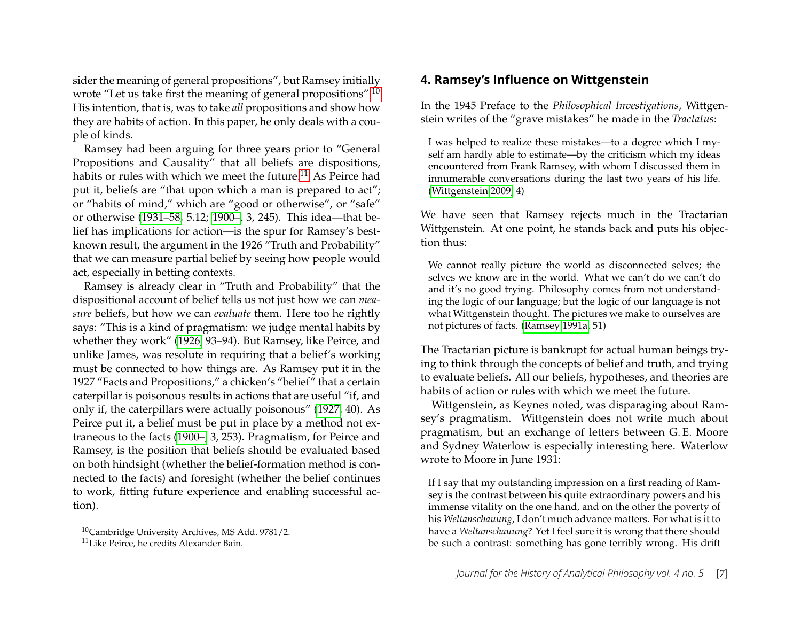sider the meaning of general propositions", but Ramsey initially wrote "Let us take first the meaning of general propositions".<sup>[10](#page-7-0)</sup> His intention, that is, was to take *all* propositions and show how they are habits of action. In this paper, he only deals with a couple of kinds.

Ramsey had been arguing for three years prior to "General Propositions and Causality" that all beliefs are dispositions, habits or rules with which we meet the future.<sup>[11](#page-7-1)</sup> As Peirce had put it, beliefs are "that upon which a man is prepared to act"; or "habits of mind," which are "good or otherwise", or "safe" or otherwise [\(1931–58,](#page-14-10) 5.12; [1900–,](#page-14-11) 3, 245). This idea—that belief has implications for action—is the spur for Ramsey's bestknown result, the argument in the 1926 "Truth and Probability" that we can measure partial belief by seeing how people would act, especially in betting contexts.

Ramsey is already clear in "Truth and Probability" that the dispositional account of belief tells us not just how we can *measure* beliefs, but how we can *evaluate* them. Here too he rightly says: "This is a kind of pragmatism: we judge mental habits by whether they work" [\(1926,](#page-14-12) 93–94). But Ramsey, like Peirce, and unlike James, was resolute in requiring that a belief's working must be connected to how things are. As Ramsey put it in the 1927 "Facts and Propositions," a chicken's "belief" that a certain caterpillar is poisonous results in actions that are useful "if, and only if, the caterpillars were actually poisonous" [\(1927,](#page-14-9) 40). As Peirce put it, a belief must be put in place by a method not extraneous to the facts [\(1900–,](#page-14-11) 3, 253). Pragmatism, for Peirce and Ramsey, is the position that beliefs should be evaluated based on both hindsight (whether the belief-formation method is connected to the facts) and foresight (whether the belief continues to work, fitting future experience and enabling successful action).

# **4. Ramsey's Influence on Wittgenstein**

In the 1945 Preface to the *Philosophical Investigations*, Wittgenstein writes of the "grave mistakes" he made in the *Tractatus*:

I was helped to realize these mistakes—to a degree which I myself am hardly able to estimate—by the criticism which my ideas encountered from Frank Ramsey, with whom I discussed them in innumerable conversations during the last two years of his life. [\(Wittgenstein 2009,](#page-15-9) 4)

We have seen that Ramsey rejects much in the Tractarian Wittgenstein. At one point, he stands back and puts his objection thus:

We cannot really picture the world as disconnected selves; the selves we know are in the world. What we can't do we can't do and it's no good trying. Philosophy comes from not understanding the logic of our language; but the logic of our language is not what Wittgenstein thought. The pictures we make to ourselves are not pictures of facts. [\(Ramsey 1991a,](#page-15-7) 51)

The Tractarian picture is bankrupt for actual human beings trying to think through the concepts of belief and truth, and trying to evaluate beliefs. All our beliefs, hypotheses, and theories are habits of action or rules with which we meet the future.

Wittgenstein, as Keynes noted, was disparaging about Ramsey's pragmatism. Wittgenstein does not write much about pragmatism, but an exchange of letters between G. E. Moore and Sydney Waterlow is especially interesting here. Waterlow wrote to Moore in June 1931:

If I say that my outstanding impression on a first reading of Ramsey is the contrast between his quite extraordinary powers and his immense vitality on the one hand, and on the other the poverty of his *Weltanschauung*, I don't much advance matters. For what is it to have a *Weltanschauung*? Yet I feel sure it is wrong that there should be such a contrast: something has gone terribly wrong. His drift

<span id="page-7-0"></span><sup>10</sup>Cambridge University Archives, MS Add. 9781/2.

<span id="page-7-1"></span><sup>11</sup>Like Peirce, he credits Alexander Bain.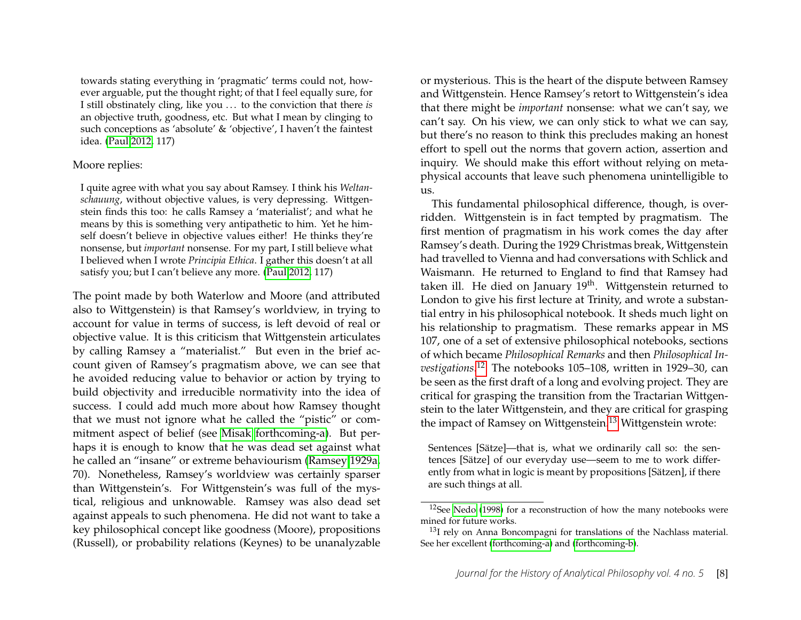towards stating everything in 'pragmatic' terms could not, however arguable, put the thought right; of that I feel equally sure, for I still obstinately cling, like you . . . to the conviction that there *is* an objective truth, goodness, etc. But what I mean by clinging to such conceptions as 'absolute' & 'objective', I haven't the faintest idea. [\(Paul 2012,](#page-14-13) 117)

#### Moore replies:

I quite agree with what you say about Ramsey. I think his *Weltanschauung*, without objective values, is very depressing. Wittgenstein finds this too: he calls Ramsey a 'materialist'; and what he means by this is something very antipathetic to him. Yet he himself doesn't believe in objective values either! He thinks they're nonsense, but *important* nonsense. For my part, I still believe what I believed when I wrote *Principia Ethica*. I gather this doesn't at all satisfy you; but I can't believe any more. [\(Paul 2012,](#page-14-13) 117)

The point made by both Waterlow and Moore (and attributed also to Wittgenstein) is that Ramsey's worldview, in trying to account for value in terms of success, is left devoid of real or objective value. It is this criticism that Wittgenstein articulates by calling Ramsey a "materialist." But even in the brief account given of Ramsey's pragmatism above, we can see that he avoided reducing value to behavior or action by trying to build objectivity and irreducible normativity into the idea of success. I could add much more about how Ramsey thought that we must not ignore what he called the "pistic" or commitment aspect of belief (see [Misak forthcoming-a\)](#page-14-14). But perhaps it is enough to know that he was dead set against what he called an "insane" or extreme behaviourism [\(Ramsey 1929a,](#page-14-7) 70). Nonetheless, Ramsey's worldview was certainly sparser than Wittgenstein's. For Wittgenstein's was full of the mystical, religious and unknowable. Ramsey was also dead set against appeals to such phenomena. He did not want to take a key philosophical concept like goodness (Moore), propositions (Russell), or probability relations (Keynes) to be unanalyzable or mysterious. This is the heart of the dispute between Ramsey and Wittgenstein. Hence Ramsey's retort to Wittgenstein's idea that there might be *important* nonsense: what we can't say, we can't say. On his view, we can only stick to what we can say, but there's no reason to think this precludes making an honest effort to spell out the norms that govern action, assertion and inquiry. We should make this effort without relying on metaphysical accounts that leave such phenomena unintelligible to us.

This fundamental philosophical difference, though, is overridden. Wittgenstein is in fact tempted by pragmatism. The first mention of pragmatism in his work comes the day after Ramsey's death. During the 1929 Christmas break, Wittgenstein had travelled to Vienna and had conversations with Schlick and Waismann. He returned to England to find that Ramsey had taken ill. He died on January 19<sup>th</sup>. Wittgenstein returned to London to give his first lecture at Trinity, and wrote a substantial entry in his philosophical notebook. It sheds much light on his relationship to pragmatism. These remarks appear in MS 107, one of a set of extensive philosophical notebooks, sections of which became *Philosophical Remarks* and then *Philosophical Investigations*. [12](#page-8-0) The notebooks 105–108, written in 1929–30, can be seen as the first draft of a long and evolving project. They are critical for grasping the transition from the Tractarian Wittgenstein to the later Wittgenstein, and they are critical for grasping the impact of Ramsey on Wittgenstein.<sup>[13](#page-8-1)</sup> Wittgenstein wrote:

Sentences [Sätze]—that is, what we ordinarily call so: the sentences [Sätze] of our everyday use—seem to me to work differently from what in logic is meant by propositions [Sätzen], if there are such things at all.

<span id="page-8-0"></span><sup>12</sup>See [Nedo \(1998\)](#page-14-15) for a reconstruction of how the many notebooks were mined for future works.

<span id="page-8-1"></span> $13$ I rely on Anna Boncompagni for translations of the Nachlass material. See her excellent [\(forthcoming-a\)](#page-13-2) and [\(forthcoming-b\)](#page-13-3).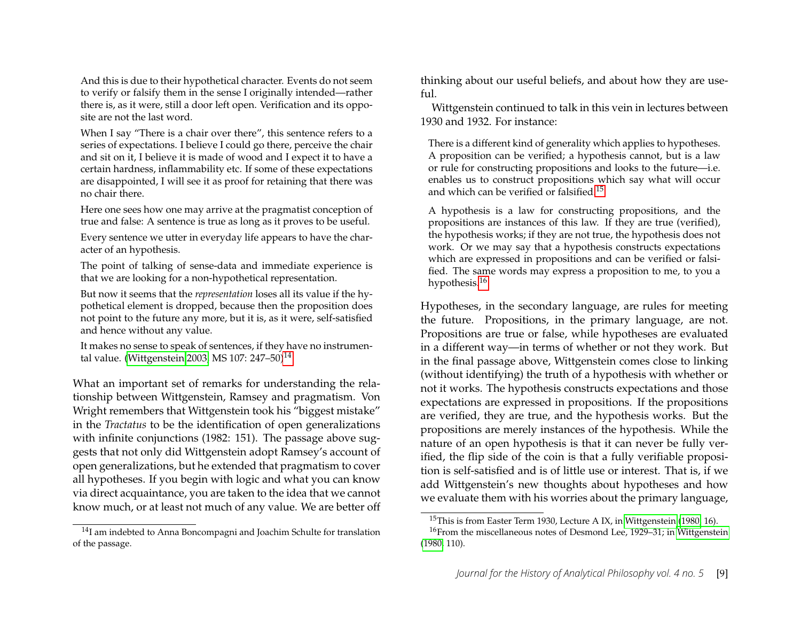And this is due to their hypothetical character. Events do not seem to verify or falsify them in the sense I originally intended—rather there is, as it were, still a door left open. Verification and its opposite are not the last word.

When I say "There is a chair over there", this sentence refers to a series of expectations. I believe I could go there, perceive the chair and sit on it, I believe it is made of wood and I expect it to have a certain hardness, inflammability etc. If some of these expectations are disappointed, I will see it as proof for retaining that there was no chair there.

Here one sees how one may arrive at the pragmatist conception of true and false: A sentence is true as long as it proves to be useful.

Every sentence we utter in everyday life appears to have the character of an hypothesis.

The point of talking of sense-data and immediate experience is that we are looking for a non-hypothetical representation.

But now it seems that the *representation* loses all its value if the hypothetical element is dropped, because then the proposition does not point to the future any more, but it is, as it were, self-satisfied and hence without any value.

It makes no sense to speak of sentences, if they have no instrumen-tal value. [\(Wittgenstein 2003,](#page-15-10) MS 107: 247–50)<sup>[14](#page-9-0)</sup>

What an important set of remarks for understanding the relationship between Wittgenstein, Ramsey and pragmatism. Von Wright remembers that Wittgenstein took his "biggest mistake" in the *Tractatus* to be the identification of open generalizations with infinite conjunctions (1982: 151). The passage above suggests that not only did Wittgenstein adopt Ramsey's account of open generalizations, but he extended that pragmatism to cover all hypotheses. If you begin with logic and what you can know via direct acquaintance, you are taken to the idea that we cannot know much, or at least not much of any value. We are better off thinking about our useful beliefs, and about how they are useful.

Wittgenstein continued to talk in this vein in lectures between 1930 and 1932. For instance:

There is a different kind of generality which applies to hypotheses. A proposition can be verified; a hypothesis cannot, but is a law or rule for constructing propositions and looks to the future—i.e. enables us to construct propositions which say what will occur and which can be verified or falsified.[15](#page-9-1)

A hypothesis is a law for constructing propositions, and the propositions are instances of this law. If they are true (verified), the hypothesis works; if they are not true, the hypothesis does not work. Or we may say that a hypothesis constructs expectations which are expressed in propositions and can be verified or falsified. The same words may express a proposition to me, to you a hypothesis.<sup>[16](#page-9-2)</sup>

Hypotheses, in the secondary language, are rules for meeting the future. Propositions, in the primary language, are not. Propositions are true or false, while hypotheses are evaluated in a different way—in terms of whether or not they work. But in the final passage above, Wittgenstein comes close to linking (without identifying) the truth of a hypothesis with whether or not it works. The hypothesis constructs expectations and those expectations are expressed in propositions. If the propositions are verified, they are true, and the hypothesis works. But the propositions are merely instances of the hypothesis. While the nature of an open hypothesis is that it can never be fully verified, the flip side of the coin is that a fully verifiable proposition is self-satisfied and is of little use or interest. That is, if we add Wittgenstein's new thoughts about hypotheses and how we evaluate them with his worries about the primary language,

<span id="page-9-0"></span><sup>&</sup>lt;sup>14</sup>I am indebted to Anna Boncompagni and Joachim Schulte for translation of the passage.

<span id="page-9-2"></span><span id="page-9-1"></span><sup>&</sup>lt;sup>15</sup>This is from Easter Term 1930, Lecture A IX, in [Wittgenstein](#page-15-11) [\(1980,](#page-15-11) 16).

<sup>&</sup>lt;sup>16</sup>From the miscellaneous notes of Desmond Lee, 1929–31; in [Wittgenstein](#page-15-11) [\(1980,](#page-15-11) 110).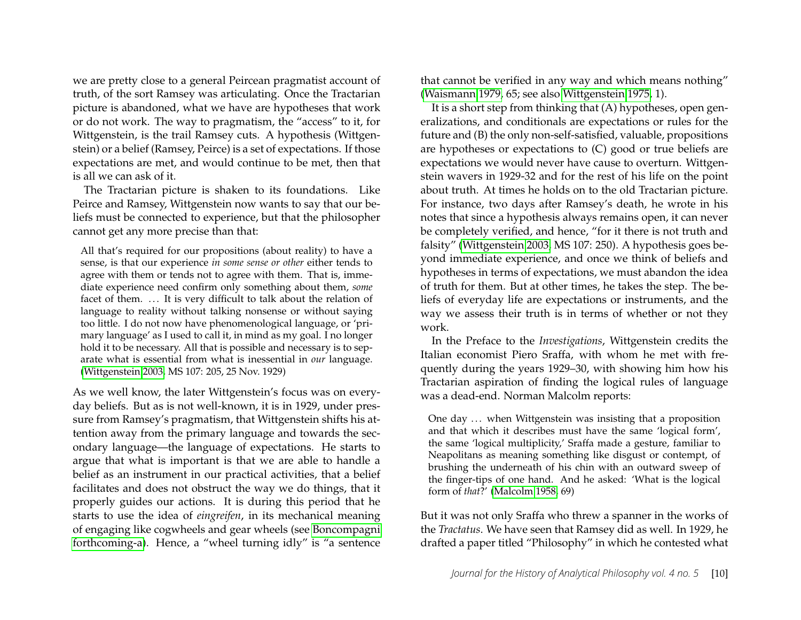we are pretty close to a general Peircean pragmatist account of truth, of the sort Ramsey was articulating. Once the Tractarian picture is abandoned, what we have are hypotheses that work or do not work. The way to pragmatism, the "access" to it, for Wittgenstein, is the trail Ramsey cuts. A hypothesis (Wittgenstein) or a belief (Ramsey, Peirce) is a set of expectations. If those expectations are met, and would continue to be met, then that is all we can ask of it.

The Tractarian picture is shaken to its foundations. Like Peirce and Ramsey, Wittgenstein now wants to say that our beliefs must be connected to experience, but that the philosopher cannot get any more precise than that:

All that's required for our propositions (about reality) to have a sense, is that our experience *in some sense or other* either tends to agree with them or tends not to agree with them. That is, immediate experience need confirm only something about them, *some* facet of them. ... It is very difficult to talk about the relation of language to reality without talking nonsense or without saying too little. I do not now have phenomenological language, or 'primary language' as I used to call it, in mind as my goal. I no longer hold it to be necessary. All that is possible and necessary is to separate what is essential from what is inessential in *our* language. [\(Wittgenstein 2003,](#page-15-10) MS 107: 205, 25 Nov. 1929)

As we well know, the later Wittgenstein's focus was on everyday beliefs. But as is not well-known, it is in 1929, under pressure from Ramsey's pragmatism, that Wittgenstein shifts his attention away from the primary language and towards the secondary language—the language of expectations. He starts to argue that what is important is that we are able to handle a belief as an instrument in our practical activities, that a belief facilitates and does not obstruct the way we do things, that it properly guides our actions. It is during this period that he starts to use the idea of *eingreifen*, in its mechanical meaning of engaging like cogwheels and gear wheels (see [Boncompagni](#page-13-2) [forthcoming-a\)](#page-13-2). Hence, a "wheel turning idly" is "a sentence that cannot be verified in any way and which means nothing" [\(Waismann 1979,](#page-15-12) 65; see also [Wittgenstein 1975,](#page-15-13) 1).

It is a short step from thinking that (A) hypotheses, open generalizations, and conditionals are expectations or rules for the future and (B) the only non-self-satisfied, valuable, propositions are hypotheses or expectations to (C) good or true beliefs are expectations we would never have cause to overturn. Wittgenstein wavers in 1929-32 and for the rest of his life on the point about truth. At times he holds on to the old Tractarian picture. For instance, two days after Ramsey's death, he wrote in his notes that since a hypothesis always remains open, it can never be completely verified, and hence, "for it there is not truth and falsity" [\(Wittgenstein 2003,](#page-15-10) MS 107: 250). A hypothesis goes beyond immediate experience, and once we think of beliefs and hypotheses in terms of expectations, we must abandon the idea of truth for them. But at other times, he takes the step. The beliefs of everyday life are expectations or instruments, and the way we assess their truth is in terms of whether or not they work.

In the Preface to the *Investigations*, Wittgenstein credits the Italian economist Piero Sraffa, with whom he met with frequently during the years 1929–30, with showing him how his Tractarian aspiration of finding the logical rules of language was a dead-end. Norman Malcolm reports:

One day ... when Wittgenstein was insisting that a proposition and that which it describes must have the same 'logical form', the same 'logical multiplicity,' Sraffa made a gesture, familiar to Neapolitans as meaning something like disgust or contempt, of brushing the underneath of his chin with an outward sweep of the finger-tips of one hand. And he asked: 'What is the logical form of *that*?' [\(Malcolm 1958,](#page-14-16) 69)

But it was not only Sraffa who threw a spanner in the works of the *Tractatus*. We have seen that Ramsey did as well. In 1929, he drafted a paper titled "Philosophy" in which he contested what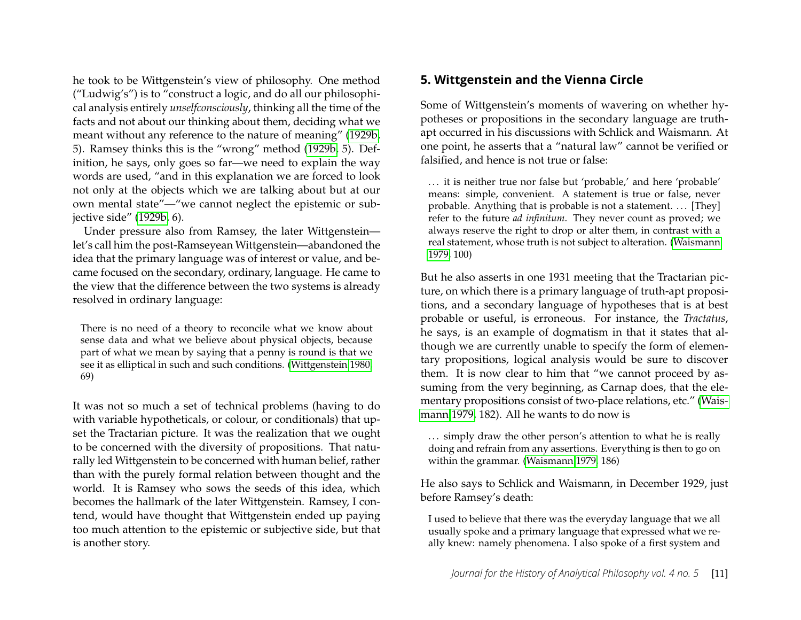he took to be Wittgenstein's view of philosophy. One method ("Ludwig's") is to "construct a logic, and do all our philosophical analysis entirely *unselfconsciously*, thinking all the time of the facts and not about our thinking about them, deciding what we meant without any reference to the nature of meaning" [\(1929b,](#page-15-6) 5). Ramsey thinks this is the "wrong" method [\(1929b,](#page-15-6) 5). Definition, he says, only goes so far—we need to explain the way words are used, "and in this explanation we are forced to look not only at the objects which we are talking about but at our own mental state"—"we cannot neglect the epistemic or subjective side" [\(1929b,](#page-15-6) 6).

Under pressure also from Ramsey, the later Wittgenstein let's call him the post-Ramseyean Wittgenstein—abandoned the idea that the primary language was of interest or value, and became focused on the secondary, ordinary, language. He came to the view that the difference between the two systems is already resolved in ordinary language:

There is no need of a theory to reconcile what we know about sense data and what we believe about physical objects, because part of what we mean by saying that a penny is round is that we see it as elliptical in such and such conditions. [\(Wittgenstein 1980,](#page-15-11) 69)

It was not so much a set of technical problems (having to do with variable hypotheticals, or colour, or conditionals) that upset the Tractarian picture. It was the realization that we ought to be concerned with the diversity of propositions. That naturally led Wittgenstein to be concerned with human belief, rather than with the purely formal relation between thought and the world. It is Ramsey who sows the seeds of this idea, which becomes the hallmark of the later Wittgenstein. Ramsey, I contend, would have thought that Wittgenstein ended up paying too much attention to the epistemic or subjective side, but that is another story.

# **5. Wittgenstein and the Vienna Circle**

Some of Wittgenstein's moments of wavering on whether hypotheses or propositions in the secondary language are truthapt occurred in his discussions with Schlick and Waismann. At one point, he asserts that a "natural law" cannot be verified or falsified, and hence is not true or false:

. . . it is neither true nor false but 'probable,' and here 'probable' means: simple, convenient. A statement is true or false, never probable. Anything that is probable is not a statement. ... [They] refer to the future *ad infinitum*. They never count as proved; we always reserve the right to drop or alter them, in contrast with a real statement, whose truth is not subject to alteration. [\(Waismann](#page-15-12) [1979,](#page-15-12) 100)

But he also asserts in one 1931 meeting that the Tractarian picture, on which there is a primary language of truth-apt propositions, and a secondary language of hypotheses that is at best probable or useful, is erroneous. For instance, the *Tractatus*, he says, is an example of dogmatism in that it states that although we are currently unable to specify the form of elementary propositions, logical analysis would be sure to discover them. It is now clear to him that "we cannot proceed by assuming from the very beginning, as Carnap does, that the elementary propositions consist of two-place relations, etc." [\(Wais](#page-15-12)[mann 1979,](#page-15-12) 182). All he wants to do now is

... simply draw the other person's attention to what he is really doing and refrain from any assertions. Everything is then to go on within the grammar. [\(Waismann 1979,](#page-15-12) 186)

He also says to Schlick and Waismann, in December 1929, just before Ramsey's death:

I used to believe that there was the everyday language that we all usually spoke and a primary language that expressed what we really knew: namely phenomena. I also spoke of a first system and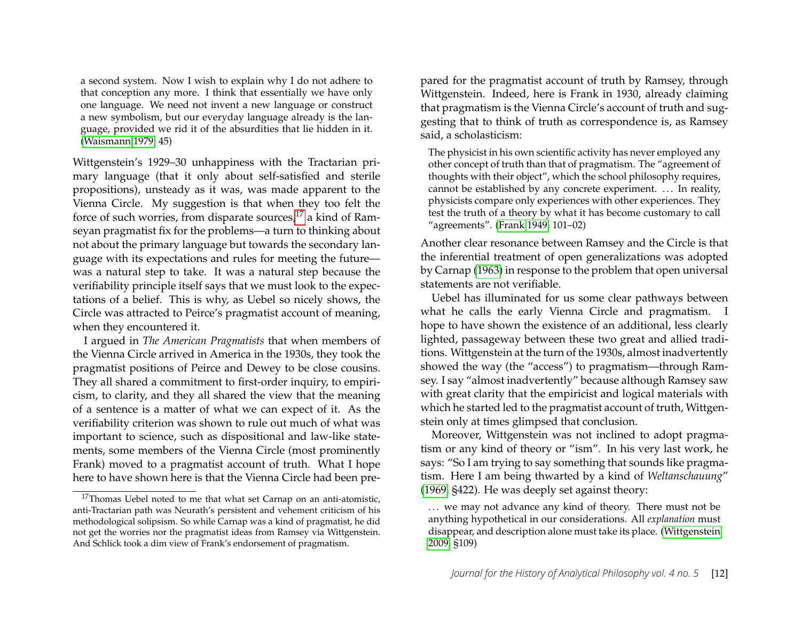a second system. Now I wish to explain why I do not adhere to that conception any more. I think that essentially we have only one language. We need not invent a new language or construct a new symbolism, but our everyday language already is the language, provided we rid it of the absurdities that lie hidden in it. [\(Waismann 1979,](#page-15-12) 45)

Wittgenstein's 1929–30 unhappiness with the Tractarian primary language (that it only about self-satisfied and sterile propositions), unsteady as it was, was made apparent to the Vienna Circle. My suggestion is that when they too felt the force of such worries, from disparate sources, $^{17}$  $^{17}$  $^{17}$  a kind of Ramseyan pragmatist fix for the problems—a turn to thinking about not about the primary language but towards the secondary language with its expectations and rules for meeting the future was a natural step to take. It was a natural step because the verifiability principle itself says that we must look to the expectations of a belief. This is why, as Uebel so nicely shows, the Circle was attracted to Peirce's pragmatist account of meaning, when they encountered it.

I argued in *The American Pragmatists* that when members of the Vienna Circle arrived in America in the 1930s, they took the pragmatist positions of Peirce and Dewey to be close cousins. They all shared a commitment to first-order inquiry, to empiricism, to clarity, and they all shared the view that the meaning of a sentence is a matter of what we can expect of it. As the verifiability criterion was shown to rule out much of what was important to science, such as dispositional and law-like statements, some members of the Vienna Circle (most prominently Frank) moved to a pragmatist account of truth. What I hope here to have shown here is that the Vienna Circle had been prepared for the pragmatist account of truth by Ramsey, through Wittgenstein. Indeed, here is Frank in 1930, already claiming that pragmatism is the Vienna Circle's account of truth and suggesting that to think of truth as correspondence is, as Ramsey said, a scholasticism:

The physicist in his own scientific activity has never employed any other concept of truth than that of pragmatism. The "agreement of thoughts with their object", which the school philosophy requires, cannot be established by any concrete experiment. ... In reality, physicists compare only experiences with other experiences. They test the truth of a theory by what it has become customary to call "agreements". [\(Frank 1949,](#page-13-4) 101–02)

Another clear resonance between Ramsey and the Circle is that the inferential treatment of open generalizations was adopted by Carnap [\(1963\)](#page-13-5) in response to the problem that open universal statements are not verifiable.

Uebel has illuminated for us some clear pathways between what he calls the early Vienna Circle and pragmatism. I hope to have shown the existence of an additional, less clearly lighted, passageway between these two great and allied traditions. Wittgenstein at the turn of the 1930s, almost inadvertently showed the way (the "access") to pragmatism—through Ramsey. I say "almost inadvertently" because although Ramsey saw with great clarity that the empiricist and logical materials with which he started led to the pragmatist account of truth, Wittgenstein only at times glimpsed that conclusion.

Moreover, Wittgenstein was not inclined to adopt pragmatism or any kind of theory or "ism". In his very last work, he says: "So I am trying to say something that sounds like pragmatism. Here I am being thwarted by a kind of *Weltanschauung*" [\(1969,](#page-15-14) §422). He was deeply set against theory:

<span id="page-12-0"></span><sup>&</sup>lt;sup>17</sup>Thomas Uebel noted to me that what set Carnap on an anti-atomistic, anti-Tractarian path was Neurath's persistent and vehement criticism of his methodological solipsism. So while Carnap was a kind of pragmatist, he did not get the worries nor the pragmatist ideas from Ramsey via Wittgenstein. And Schlick took a dim view of Frank's endorsement of pragmatism.

<sup>...</sup> we may not advance any kind of theory. There must not be anything hypothetical in our considerations. All *explanation* must disappear, and description alone must take its place. [\(Wittgenstein](#page-15-9) [2009,](#page-15-9) §109)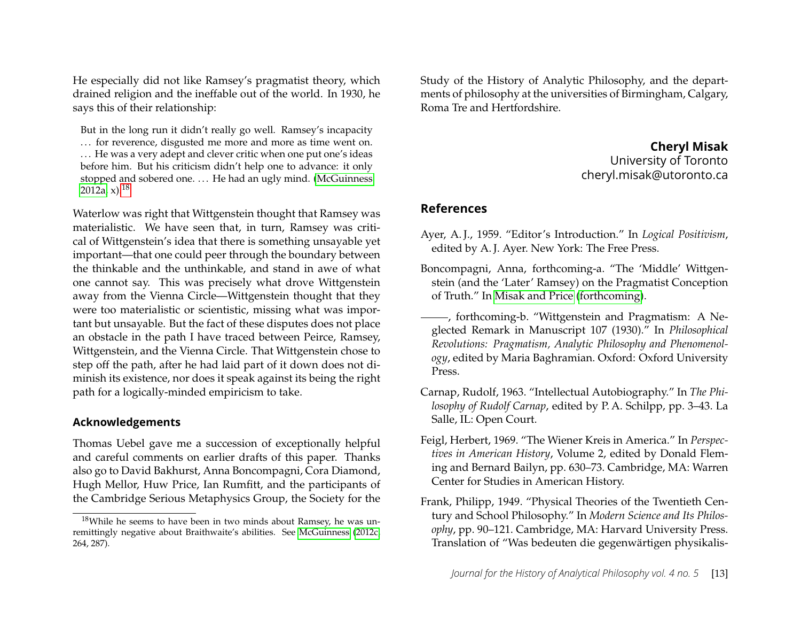He especially did not like Ramsey's pragmatist theory, which drained religion and the ineffable out of the world. In 1930, he says this of their relationship:

But in the long run it didn't really go well. Ramsey's incapacity ... for reverence, disgusted me more and more as time went on. ... He was a very adept and clever critic when one put one's ideas before him. But his criticism didn't help one to advance: it only stopped and sobered one. ... He had an ugly mind. [\(McGuinness](#page-14-17) [2012a,](#page-14-17) x).<sup>[18](#page-13-6)</sup>

Waterlow was right that Wittgenstein thought that Ramsey was materialistic. We have seen that, in turn, Ramsey was critical of Wittgenstein's idea that there is something unsayable yet important—that one could peer through the boundary between the thinkable and the unthinkable, and stand in awe of what one cannot say. This was precisely what drove Wittgenstein away from the Vienna Circle—Wittgenstein thought that they were too materialistic or scientistic, missing what was important but unsayable. But the fact of these disputes does not place an obstacle in the path I have traced between Peirce, Ramsey, Wittgenstein, and the Vienna Circle. That Wittgenstein chose to step off the path, after he had laid part of it down does not diminish its existence, nor does it speak against its being the right path for a logically-minded empiricism to take.

#### **Acknowledgements**

Thomas Uebel gave me a succession of exceptionally helpful and careful comments on earlier drafts of this paper. Thanks also go to David Bakhurst, Anna Boncompagni, Cora Diamond, Hugh Mellor, Huw Price, Ian Rumfitt, and the participants of the Cambridge Serious Metaphysics Group, the Society for the Study of the History of Analytic Philosophy, and the departments of philosophy at the universities of Birmingham, Calgary, Roma Tre and Hertfordshire.

## **Cheryl Misak** University of Toronto cheryl.misak@utoronto.ca

#### **References**

- <span id="page-13-1"></span>Ayer, A. J., 1959. "Editor's Introduction." In *Logical Positivism*, edited by A. J. Ayer. New York: The Free Press.
- <span id="page-13-2"></span>Boncompagni, Anna, forthcoming-a. "The 'Middle' Wittgenstein (and the 'Later' Ramsey) on the Pragmatist Conception of Truth." In [Misak and Price \(forthcoming\)](#page-14-18).
- <span id="page-13-3"></span>, forthcoming-b. "Wittgenstein and Pragmatism: A Neglected Remark in Manuscript 107 (1930)." In *Philosophical Revolutions: Pragmatism, Analytic Philosophy and Phenomenology*, edited by Maria Baghramian. Oxford: Oxford University Press.
- <span id="page-13-5"></span>Carnap, Rudolf, 1963. "Intellectual Autobiography." In *The Philosophy of Rudolf Carnap*, edited by P. A. Schilpp, pp. 3–43. La Salle, IL: Open Court.
- <span id="page-13-0"></span>Feigl, Herbert, 1969. "The Wiener Kreis in America." In *Perspectives in American History*, Volume 2, edited by Donald Fleming and Bernard Bailyn, pp. 630–73. Cambridge, MA: Warren Center for Studies in American History.
- <span id="page-13-4"></span>Frank, Philipp, 1949. "Physical Theories of the Twentieth Century and School Philosophy." In *Modern Science and Its Philosophy*, pp. 90–121. Cambridge, MA: Harvard University Press. Translation of "Was bedeuten die gegenwärtigen physikalis-

<span id="page-13-6"></span><sup>18</sup>While he seems to have been in two minds about Ramsey, he was unremittingly negative about Braithwaite's abilities. See [McGuinness \(2012c,](#page-14-5) 264, 287).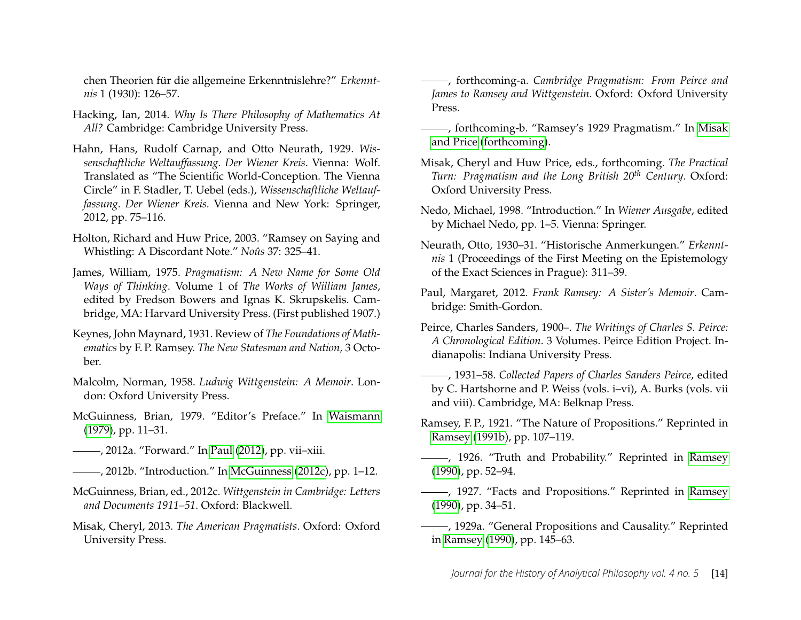chen Theorien für die allgemeine Erkenntnislehre?" *Erkenntnis* 1 (1930): 126–57.

- <span id="page-14-4"></span>Hacking, Ian, 2014. *Why Is There Philosophy of Mathematics At All?* Cambridge: Cambridge University Press.
- <span id="page-14-2"></span>Hahn, Hans, Rudolf Carnap, and Otto Neurath, 1929. *Wissenschaftliche Weltauffassung. Der Wiener Kreis*. Vienna: Wolf. Translated as "The Scientific World-Conception. The Vienna Circle" in F. Stadler, T. Uebel (eds.), *Wissenschaftliche Weltauffassung. Der Wiener Kreis.* Vienna and New York: Springer, 2012, pp. 75–116.
- Holton, Richard and Huw Price, 2003. "Ramsey on Saying and Whistling: A Discordant Note." *Noûs* 37: 325–41.
- <span id="page-14-0"></span>James, William, 1975. *Pragmatism: A New Name for Some Old Ways of Thinking*. Volume 1 of *The Works of William James*, edited by Fredson Bowers and Ignas K. Skrupskelis. Cambridge, MA: Harvard University Press. (First published 1907.)
- <span id="page-14-8"></span>Keynes, John Maynard, 1931. Review of *The Foundations of Mathematics* by F. P. Ramsey. *The New Statesman and Nation,* 3 October.
- <span id="page-14-16"></span>Malcolm, Norman, 1958. *Ludwig Wittgenstein: A Memoir*. London: Oxford University Press.
- McGuinness, Brian, 1979. "Editor's Preface." In [Waismann](#page-15-12) [\(1979\)](#page-15-12), pp. 11–31.
- <span id="page-14-17"></span>, 2012a. "Forward." In [Paul \(2012\)](#page-14-13), pp. vii–xiii.
- , 2012b. "Introduction." In [McGuinness](#page-14-5) [\(2012c\)](#page-14-5), pp. 1–12.
- <span id="page-14-5"></span>McGuinness, Brian, ed., 2012c. *Wittgenstein in Cambridge: Letters and Documents 1911–51*. Oxford: Blackwell.
- <span id="page-14-1"></span>Misak, Cheryl, 2013. *The American Pragmatists*. Oxford: Oxford University Press.

<span id="page-14-14"></span>, forthcoming-a. *Cambridge Pragmatism: From Peirce and James to Ramsey and Wittgenstein*. Oxford: Oxford University Press.

- , forthcoming-b. "Ramsey's 1929 Pragmatism." In [Misak](#page-14-18) [and Price \(forthcoming\)](#page-14-18).
- <span id="page-14-18"></span>Misak, Cheryl and Huw Price, eds., forthcoming. *The Practical Turn: Pragmatism and the Long British 20th Century*. Oxford: Oxford University Press.
- <span id="page-14-15"></span>Nedo, Michael, 1998. "Introduction." In *Wiener Ausgabe*, edited by Michael Nedo, pp. 1–5. Vienna: Springer.
- <span id="page-14-3"></span>Neurath, Otto, 1930–31. "Historische Anmerkungen." *Erkenntnis* 1 (Proceedings of the First Meeting on the Epistemology of the Exact Sciences in Prague): 311–39.
- <span id="page-14-13"></span>Paul, Margaret, 2012. *Frank Ramsey: A Sister's Memoir*. Cambridge: Smith-Gordon.
- <span id="page-14-11"></span>Peirce, Charles Sanders, 1900–. *The Writings of Charles S. Peirce: A Chronological Edition*. 3 Volumes. Peirce Edition Project. Indianapolis: Indiana University Press.
- <span id="page-14-10"></span>, 1931–58. *Collected Papers of Charles Sanders Peirce*, edited by C. Hartshorne and P. Weiss (vols. i–vi), A. Burks (vols. vii and viii). Cambridge, MA: Belknap Press.
- <span id="page-14-6"></span>Ramsey, F. P., 1921. "The Nature of Propositions." Reprinted in [Ramsey \(1991b\)](#page-15-8), pp. 107–119.
- <span id="page-14-12"></span>-, 1926. "Truth and Probability." Reprinted in [Ramsey](#page-15-15) [\(1990\)](#page-15-15), pp. 52–94.
- <span id="page-14-9"></span>- , 1927. "Facts and Propositions." Reprinted in [Ramsey](#page-15-15) [\(1990\)](#page-15-15), pp. 34–51.
- <span id="page-14-7"></span>, 1929a. "General Propositions and Causality." Reprinted in [Ramsey](#page-15-15) [\(1990\)](#page-15-15), pp. 145–63.